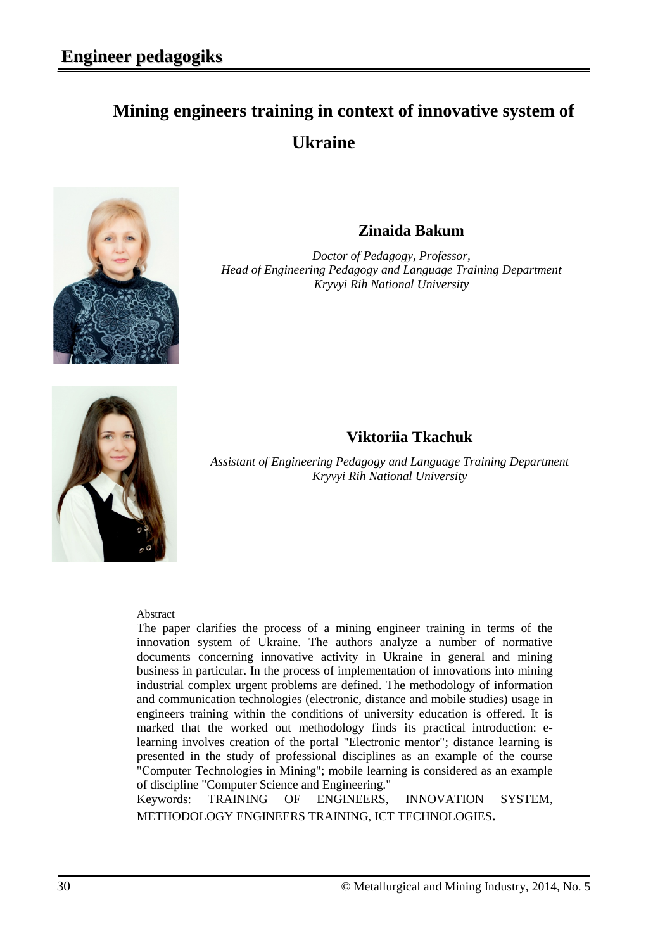# **Mining engineers training in context of innovative system of Ukraine**



## **Zinaida Bakum**

*Doctor of Pedagogy, Professor, Head of Engineering Pedagogy and Language Training Department Kryvyi Rih National University*



### **Viktoriia Tkachuk**

*Assistant of Engineering Pedagogy and Language Training Department Kryvyi Rih National University*

#### Abstract

The paper clarifies the process of a mining engineer training in terms of the innovation system of Ukraine. The authors analyze a number of normative documents concerning innovative activity in Ukraine in general and mining business in particular. In the process of implementation of innovations into mining industrial complex urgent problems are defined. The methodology of information and communication technologies (electronic, distance and mobile studies) usage in engineers training within the conditions of university education is offered. It is marked that the worked out methodology finds its practical introduction: elearning involves creation of the portal "Electronic mentor"; distance learning is presented in the study of professional disciplines as an example of the course "Сomputer Technologies in Mining"; mobile learning is considered as an example of discipline "Computer Science and Engineering."

Keywords: TRAINING OF ENGINEERS, INNOVATION SYSTEM, METHODOLOGY ENGINEERS TRAINING, ICT TECHNOLOGIES.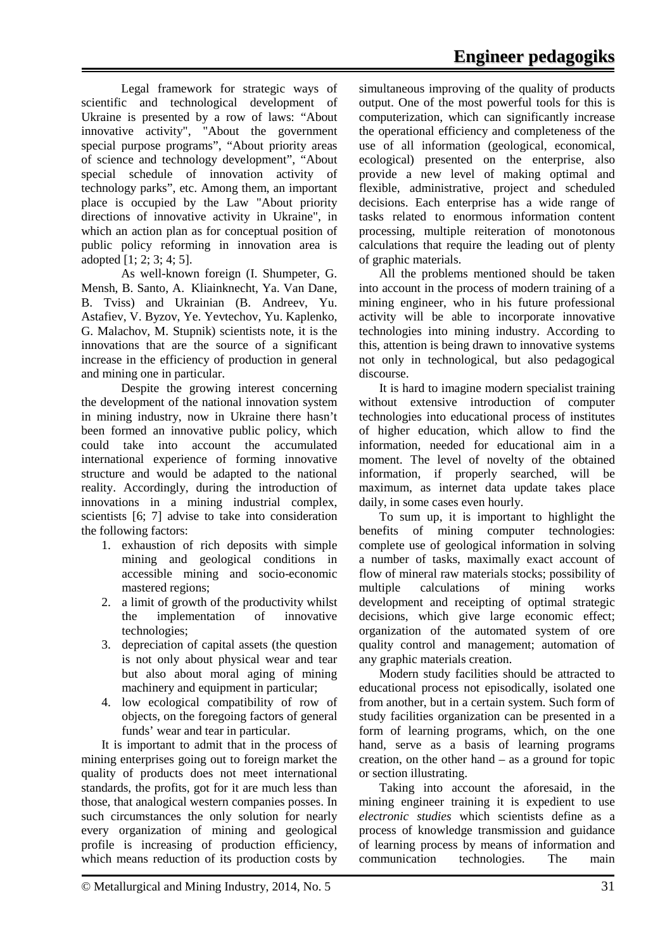Legal framework for strategic ways of scientific and technological development of Ukraine is presented by a row of laws: "About innovative activity", "About the government special purpose programs", "About priority areas of science and technology development", "About special schedule of innovation activity of technology parks", etc. Among them, an important place is occupied by the Law "About priority directions of innovative activity in Ukraine", in which an action plan as for conceptual position of public policy reforming in innovation area is adopted [1; 2; 3; 4; 5].

As well-known foreign (I. Shumpeter, G. Mensh, B. Santo, A. Kliainknecht, Ya. Van Dane, B. Tviss) and Ukrainian (B. Andreev, Yu. Astafiev, V. Byzov, Ye. Yevtechov, Yu. Kaplenko, G. Malachov, M. Stupnik) scientists note, it is the innovations that are the source of a significant increase in the efficiency of production in general and mining one in particular.

Despite the growing interest concerning the development of the national innovation system in mining industry, now in Ukraine there hasn't been formed an innovative public policy, which could take into account the accumulated international experience of forming innovative structure and would be adapted to the national reality. Accordingly, during the introduction of innovations in a mining industrial complex, scientists [\[6;](#page-5-0) [7\]](#page-4-0) advise to take into consideration the following factors:

- 1. exhaustion of rich deposits with simple mining and geological conditions in accessible mining and socio-economic mastered regions;
- 2. a limit of growth of the productivity whilst the implementation of innovative technologies;
- 3. depreciation of capital assets (the question is not only about physical wear and tear but also about moral aging of mining machinery and equipment in particular;
- 4. low ecological compatibility of row of objects, on the foregoing factors of general funds' wear and tear in particular.

It is important to admit that in the process of mining enterprises going out to foreign market the quality of products does not meet international standards, the profits, got for it are much less than those, that analogical western companies posses. In such circumstances the only solution for nearly every organization of mining and geological profile is increasing of production efficiency, which means reduction of its production costs by

simultaneous improving of the quality of products output. One of the most powerful tools for this is computerization, which can significantly increase the operational efficiency and completeness of the use of all information (geological, economical, ecological) presented on the enterprise, also provide a new level of making optimal and flexible, administrative, project and scheduled decisions. Each enterprise has a wide range of tasks related to enormous information content processing, multiple reiteration of monotonous calculations that require the leading out of plenty of graphic materials.

All the problems mentioned should be taken into account in the process of modern training of a mining engineer, who in his future professional activity will be able to incorporate innovative technologies into mining industry. According to this, attention is being drawn to innovative systems not only in technological, but also pedagogical discourse.

It is hard to imagine modern specialist training without extensive introduction of computer technologies into educational process of institutes of higher education, which allow to find the information, needed for educational aim in a moment. The level of novelty of the obtained information, if properly searched, will be maximum, as internet data update takes place daily, in some cases even hourly.

To sum up, it is important to highlight the benefits of mining computer technologies: complete use of geological information in solving a number of tasks, maximally exact account of flow of mineral raw materials stocks; possibility of multiple calculations of mining works development and receipting of optimal strategic decisions, which give large economic effect; organization of the automated system of ore quality control and management; automation of any graphic materials creation.

Modern study facilities should be attracted to educational process not episodically, isolated one from another, but in a certain system. Such form of study facilities organization can be presented in a form of learning programs, which, on the one hand, serve as a basis of learning programs creation, on the other hand – as a ground for topic or section illustrating.

Taking into account the aforesaid, in the mining engineer training it is expedient to use *electronic studies* which scientists define as a process of knowledge transmission and guidance of learning process by means of information and communication technologies. The main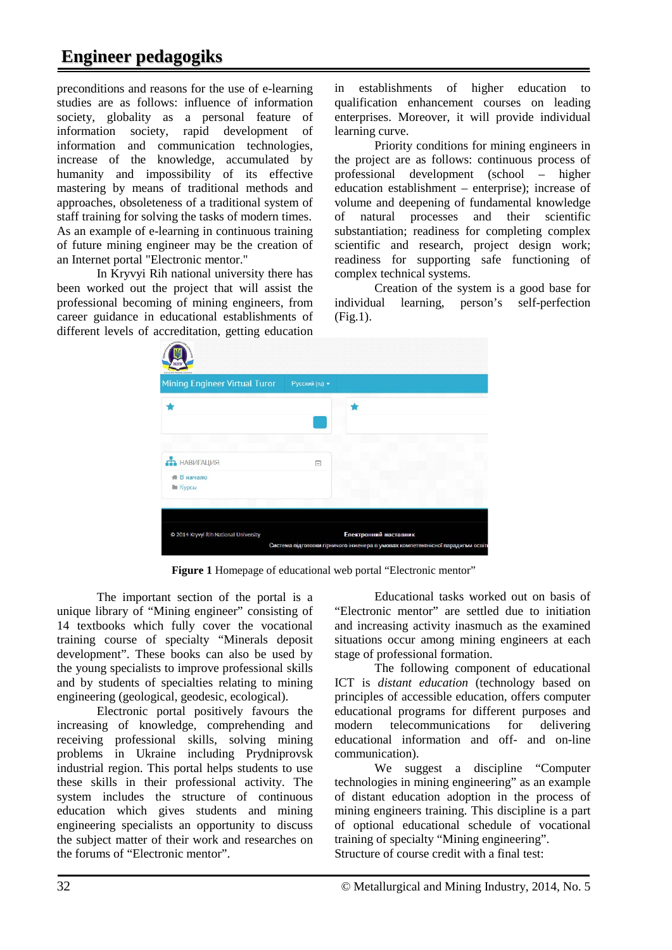## **Engineer pedagogiks**

preconditions and reasons for the use of e-learning studies are as follows: influence of information society, globality as a personal feature of information society, rapid development of information and communication technologies, increase of the knowledge, accumulated by humanity and impossibility of its effective mastering by means of traditional methods and approaches, obsoleteness of a traditional system of staff training for solving the tasks of modern times. As an example of e-learning in continuous training of future mining engineer may be the creation of an Internet portal "Electronic mentor."

In Kryvyi Rih national university there has been worked out the project that will assist the professional becoming of mining engineers, from career guidance in educational establishments of different levels of accreditation, getting education in establishments of higher education to qualification enhancement courses on leading enterprises. Moreover, it will provide individual learning curve.

Priority conditions for mining engineers in the project are as follows: continuous process of professional development (school – higher education establishment – enterprise); increase of volume and deepening of fundamental knowledge of natural processes and their scientific substantiation; readiness for completing complex scientific and research, project design work; readiness for supporting safe functioning of complex technical systems.

Creation of the system is a good base for<br>individual learning, person's self-perfection learning, person's self-perfection  $(Fi\sigma, 1)$ .

| <b>Mining Engineer Virtual Turor</b>                     | Русский (ru) ▼ |  |
|----------------------------------------------------------|----------------|--|
|                                                          |                |  |
| <b>ПРАВИГАЦИЯ</b><br><b>₩ В начало</b><br><b>В Курсы</b> | $=$            |  |
|                                                          |                |  |

**Figure 1** Homepage of educational web portal "Electronic mentor"

The important section of the portal is a unique library of "Mining engineer" consisting of 14 textbooks which fully cover the vocational training course of specialty "Minerals deposit development". These books can also be used by the young specialists to improve professional skills and by students of specialties relating to mining engineering (geological, geodesic, ecological).

Electronic portal positively favours the increasing of knowledge, comprehending and receiving professional skills, solving mining problems in Ukraine including Prydniprovsk industrial region. This portal helps students to use these skills in their professional activity. The system includes the structure of continuous education which gives students and mining engineering specialists an opportunity to discuss the subject matter of their work and researches on the forums of "Electronic mentor".

Educational tasks worked out on basis of "Electronic mentor" are settled due to initiation and increasing activity inasmuch as the examined situations occur among mining engineers at each stage of professional formation.

The following component of educational ICT is *distant education* (technology based on principles of accessible education, offers computer educational programs for different purposes and modern telecommunications for delivering educational information and off- and on-line communication).

We suggest a discipline "Computer technologies in mining engineering" as an example of distant education adoption in the process of mining engineers training. This discipline is a part of optional educational schedule of vocational training of specialty "Mining engineering". Structure of course credit with a final test: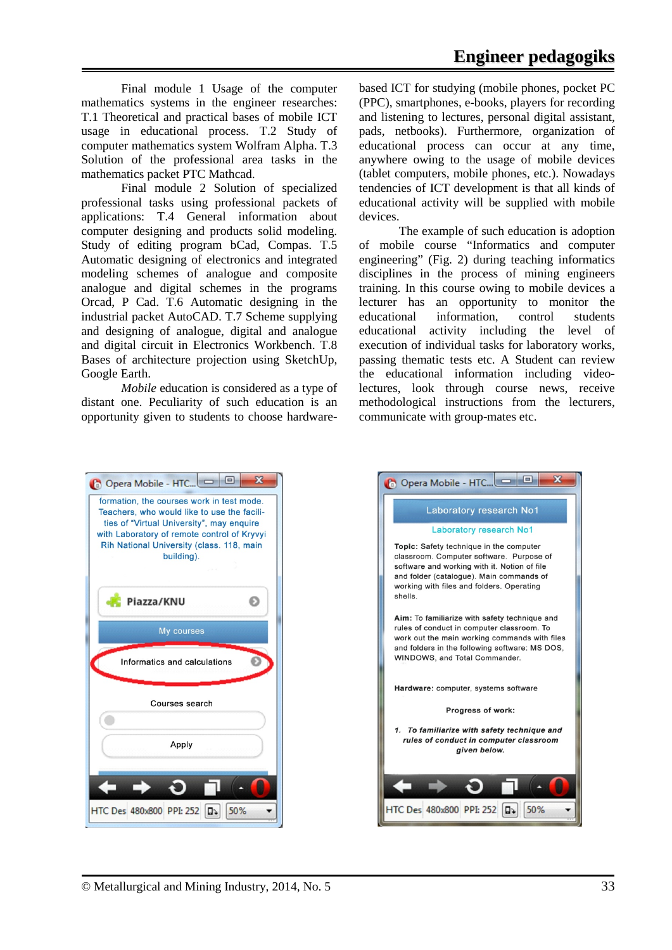Final module 1 Usage of the computer mathematics systems in the engineer researches: T.1 Theoretical and practical bases of mobile ICT usage in educational process. T.2 Study of computer mathematics system Wolfram Alpha. T.3 Solution of the professional area tasks in the mathematics packet PTC Mathcad.

Final module 2 Solution of specialized professional tasks using professional packets of applications: T.4 General information about computer designing and products solid modeling. Study of editing program bCad, Compas. T.5 Automatic designing of electronics and integrated modeling schemes of analogue and composite analogue and digital schemes in the programs Orcad, P Cad. T.6 Automatic designing in the industrial packet AutoCAD. T.7 Scheme supplying and designing of analogue, digital and analogue and digital circuit in Electronics Workbench. T.8 Bases of architecture projection using SketchUp, Google Earth.

*Mobile* education is considered as a type of distant one. Peculiarity of such education is an opportunity given to students to choose hardwarebased ICT for studying (mobile phones, pocket PC (PPC), smartphones, e-books, players for recording and listening to lectures, personal digital assistant, pads, netbooks). Furthermore, organization of educational process can occur at any time, anywhere owing to the usage of mobile devices (tablet computers, mobile phones, etc.). Nowadays tendencies of ICT development is that all kinds of educational activity will be supplied with mobile devices.

The example of such education is adoption of mobile course "Informatics and computer engineering" (Fig. 2) during teaching informatics disciplines in the process of mining engineers training. In this course owing to mobile devices a lecturer has an opportunity to monitor the educational information, control students educational activity including the level of execution of individual tasks for laboratory works, passing thematic tests etc. A Student can review the educational information including videolectures, look through course news, receive methodological instructions from the lecturers, communicate with group-mates etc.



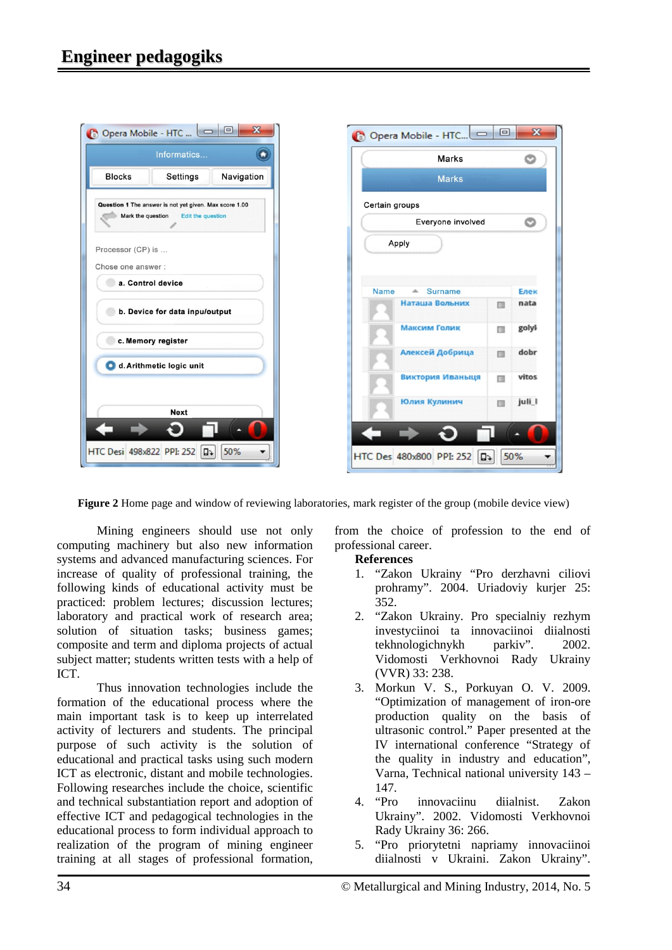

**Figure 2** Home page and window of reviewing laboratories, mark register of the group (mobile device view)

Mining engineers should use not only computing machinery but also new information systems and advanced manufacturing sciences. For increase of quality of professional training, the following kinds of educational activity must be practiced: problem lectures; discussion lectures; laboratory and practical work of research area; solution of situation tasks; business games; composite and term and diploma projects of actual subject matter; students written tests with a help of ICT.

Thus innovation technologies include the formation of the educational process where the main important task is to keep up interrelated activity of lecturers and students. The principal purpose of such activity is the solution of educational and practical tasks using such modern ICT as electronic, distant and mobile technologies. Following researches include the choice, scientific and technical substantiation report and adoption of effective ICT and pedagogical technologies in the educational process to form individual approach to realization of the program of mining engineer training at all stages of professional formation, from the choice of profession to the end of professional career.

#### **References**

- 1. "Zakon Ukrainy "Pro derzhavni ciliovi prohramy". 2004. Uriadoviy kurjer 25: 352.
- 2. "Zakon Ukrainy. Pro specialniy rezhym investyciinoi ta innovaciinoi diialnosti<br>tekhnologichnykh parkiv". 2002. tekhnologichnykh parkiv". 2002. Vidomosti Verkhovnoi Rady Ukrainy (VVR) 33: 238.
- <span id="page-4-0"></span>3. Morkun V. S., Porkuyan O. V. 2009. "Optimization of management of iron-ore production quality on the basis of ultrasonic control." Paper presented at the IV international conference "Strategy of the quality in industry and education", Varna, Technical national university 143 – 147.
- 4. "Pro innovaciinu diialnist. Zakon Ukrainy". 2002. Vidomosti Verkhovnoi Rady Ukrainy 36: 266.
- 5. "Pro priorytetni napriamy innovaciinoi diialnosti v Ukraini. Zakon Ukrainy".